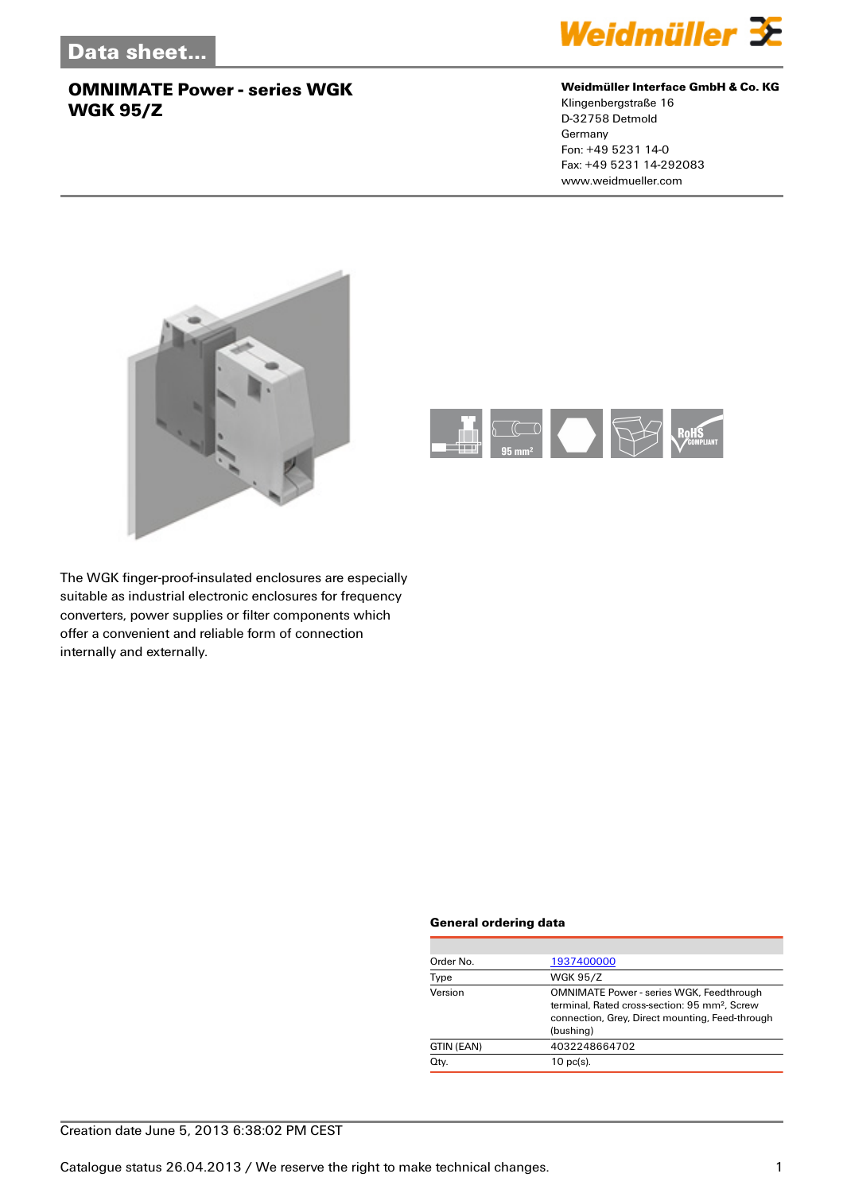

#### **Weidmüller Interface GmbH & Co. KG**

Klingenbergstraße 16 D-32758 Detmold Germany Fon: +49 5231 14-0 Fax: +49 5231 14-292083 www.weidmueller.com





The WGK finger-proof-insulated enclosures are especially suitable as industrial electronic enclosures for frequency converters, power supplies or filter components which offer a convenient and reliable form of connection internally and externally.

#### **General ordering data**

| Order No.  | 1937400000                                                                                                                                                                   |
|------------|------------------------------------------------------------------------------------------------------------------------------------------------------------------------------|
| Type       | <b>WGK 95/Z</b>                                                                                                                                                              |
| Version    | <b>OMNIMATE Power - series WGK, Feedthrough</b><br>terminal. Rated cross-section: 95 mm <sup>2</sup> . Screw<br>connection, Grey, Direct mounting, Feed-through<br>(bushing) |
| GTIN (EAN) | 4032248664702                                                                                                                                                                |
| Qty.       | $10$ pc(s).                                                                                                                                                                  |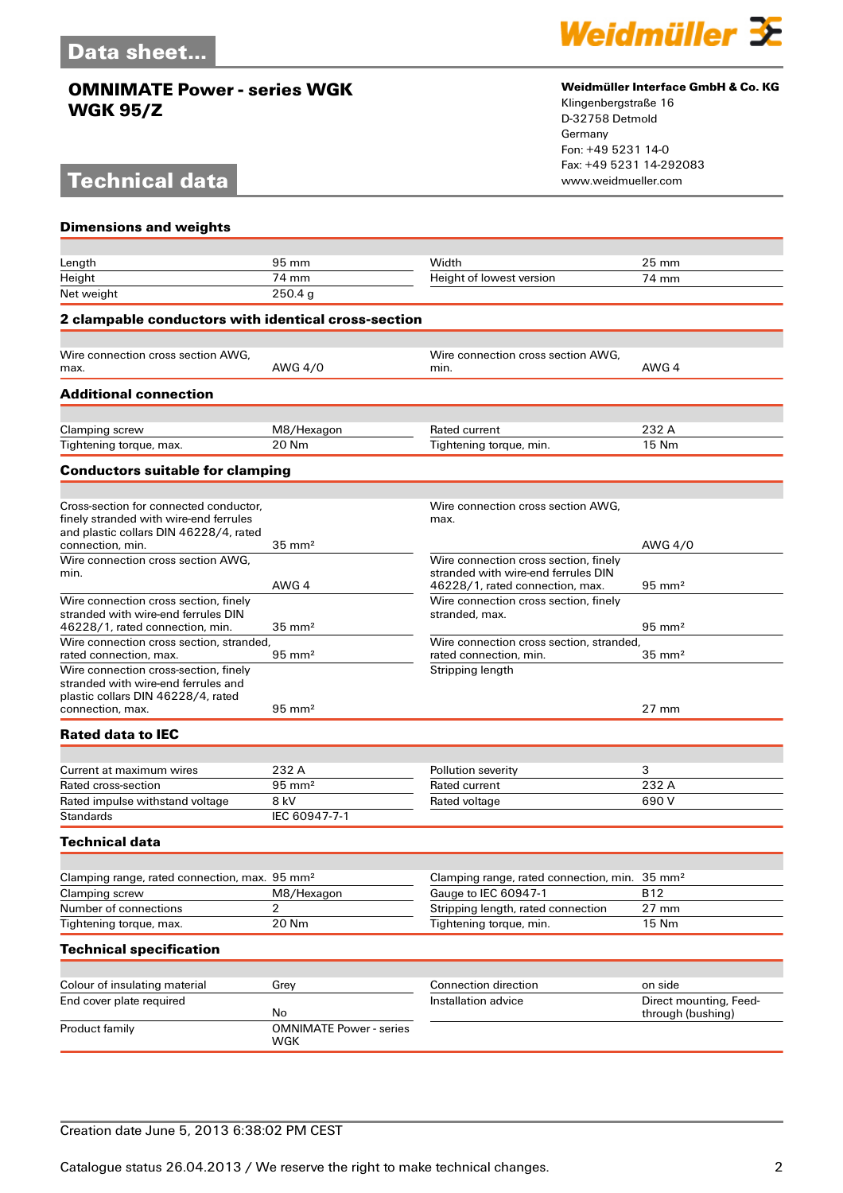# **Technical data**



#### **Weidmüller Interface GmbH & Co. KG**

Klingenbergstraße 16 D-32758 Detmold Germany Fon: +49 5231 14-0 Fax: +49 5231 14-292083

| <b>Dimensions and weights</b>                                                                                                          |                                       |                                                                                                                 |                                             |  |  |
|----------------------------------------------------------------------------------------------------------------------------------------|---------------------------------------|-----------------------------------------------------------------------------------------------------------------|---------------------------------------------|--|--|
|                                                                                                                                        |                                       |                                                                                                                 |                                             |  |  |
| Length                                                                                                                                 | $95 \,\mathrm{mm}$                    | Width                                                                                                           | $25 \, \text{mm}$                           |  |  |
| Height                                                                                                                                 | 74 mm                                 | Height of lowest version                                                                                        | 74 mm                                       |  |  |
| Net weight                                                                                                                             | 250.4g                                |                                                                                                                 |                                             |  |  |
| 2 clampable conductors with identical cross-section                                                                                    |                                       |                                                                                                                 |                                             |  |  |
|                                                                                                                                        |                                       |                                                                                                                 |                                             |  |  |
| Wire connection cross section AWG,<br>max.                                                                                             | AWG 4/0                               | Wire connection cross section AWG.<br>min.                                                                      | AWG 4                                       |  |  |
| <b>Additional connection</b>                                                                                                           |                                       |                                                                                                                 |                                             |  |  |
|                                                                                                                                        |                                       | <b>Rated current</b>                                                                                            | 232 A                                       |  |  |
| Clamping screw<br>Tightening torque, max.                                                                                              | M8/Hexagon<br>20 Nm                   | Tightening torque, min.                                                                                         | 15 Nm                                       |  |  |
|                                                                                                                                        |                                       |                                                                                                                 |                                             |  |  |
| <b>Conductors suitable for clamping</b>                                                                                                |                                       |                                                                                                                 |                                             |  |  |
| Cross-section for connected conductor,<br>finely stranded with wire-end ferrules<br>and plastic collars DIN 46228/4, rated             |                                       | Wire connection cross section AWG,<br>max.                                                                      |                                             |  |  |
| connection, min.                                                                                                                       | $35 \text{ mm}^2$                     |                                                                                                                 | AWG 4/0                                     |  |  |
| Wire connection cross section AWG.<br>min.                                                                                             | AWG 4                                 | Wire connection cross section, finely<br>stranded with wire-end ferrules DIN<br>46228/1, rated connection, max. | $95 \text{ mm}^2$                           |  |  |
| Wire connection cross section, finely<br>stranded with wire-end ferrules DIN<br>46228/1, rated connection, min.                        | $35 \text{ mm}^2$                     | Wire connection cross section, finely<br>stranded, max.                                                         | $95 \text{ mm}^2$                           |  |  |
| Wire connection cross section, stranded,<br>rated connection, max.                                                                     | $95 \text{ mm}^2$                     | Wire connection cross section, stranded,<br>rated connection, min.                                              | $35 \text{ mm}^2$                           |  |  |
| Wire connection cross-section, finely<br>stranded with wire-end ferrules and<br>plastic collars DIN 46228/4, rated<br>connection, max. | $95 \text{ mm}^2$                     | Stripping length                                                                                                | $27 \text{ mm}$                             |  |  |
| <b>Rated data to IEC</b>                                                                                                               |                                       |                                                                                                                 |                                             |  |  |
|                                                                                                                                        |                                       |                                                                                                                 |                                             |  |  |
| Current at maximum wires                                                                                                               | 232 A                                 | Pollution severity                                                                                              | 3                                           |  |  |
| Rated cross-section                                                                                                                    | $95 \text{ mm}^2$                     | Rated current                                                                                                   | 232 A                                       |  |  |
| Rated impulse withstand voltage                                                                                                        | 8 kV                                  | Rated voltage                                                                                                   | 690 V                                       |  |  |
| Standards                                                                                                                              | IEC 60947-7-1                         |                                                                                                                 |                                             |  |  |
| <b>Technical data</b>                                                                                                                  |                                       |                                                                                                                 |                                             |  |  |
|                                                                                                                                        |                                       |                                                                                                                 |                                             |  |  |
| Clamping range, rated connection, max. 95 mm <sup>2</sup>                                                                              |                                       | Clamping range, rated connection, min.                                                                          | $35 \text{ mm}^2$                           |  |  |
| Clamping screw                                                                                                                         | M8/Hexagon                            | Gauge to IEC 60947-1                                                                                            | <b>B12</b>                                  |  |  |
| Number of connections                                                                                                                  | 2                                     | Stripping length, rated connection                                                                              | 27 mm                                       |  |  |
| Tightening torque, max.                                                                                                                | 20 Nm                                 | Tightening torque, min.                                                                                         | 15 Nm                                       |  |  |
| <b>Technical specification</b>                                                                                                         |                                       |                                                                                                                 |                                             |  |  |
|                                                                                                                                        |                                       |                                                                                                                 |                                             |  |  |
| Colour of insulating material                                                                                                          | Grey                                  | Connection direction                                                                                            | on side                                     |  |  |
| End cover plate required                                                                                                               | No                                    | Installation advice                                                                                             | Direct mounting, Feed-<br>through (bushing) |  |  |
| Product family                                                                                                                         | <b>OMNIMATE Power - series</b><br>WGK |                                                                                                                 |                                             |  |  |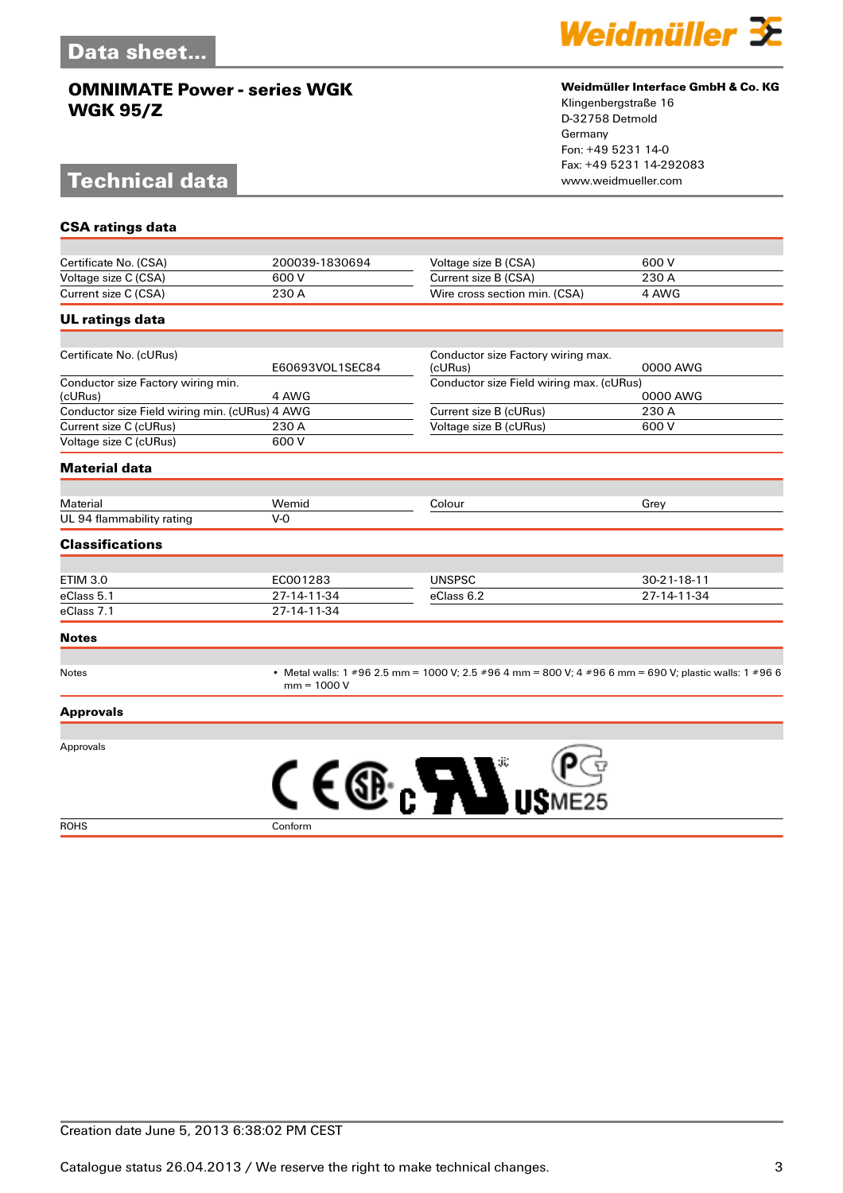# **Technical data**



#### **Weidmüller Interface GmbH & Co. KG**

Klingenbergstraße 16 D-32758 Detmold Germany Fon: +49 5231 14-0 Fax: +49 5231 14-292083

| <b>CSA ratings data</b>                        |                                                                                                                         |                                               |             |
|------------------------------------------------|-------------------------------------------------------------------------------------------------------------------------|-----------------------------------------------|-------------|
|                                                |                                                                                                                         |                                               |             |
| Certificate No. (CSA)                          | 200039-1830694                                                                                                          | Voltage size B (CSA)                          | 600 V       |
| Voltage size C (CSA)                           | 600 V                                                                                                                   | Current size B (CSA)                          | 230 A       |
| Current size C (CSA)                           | 230 A                                                                                                                   | Wire cross section min. (CSA)                 | 4 AWG       |
| <b>UL ratings data</b>                         |                                                                                                                         |                                               |             |
|                                                |                                                                                                                         |                                               |             |
| Certificate No. (cURus)                        | E60693VOL1SEC84                                                                                                         | Conductor size Factory wiring max.<br>(cURus) | 0000 AWG    |
| Conductor size Factory wiring min.<br>(cURus)  | 4 AWG                                                                                                                   | Conductor size Field wiring max. (cURus)      | 0000 AWG    |
| Conductor size Field wiring min. (cURus) 4 AWG |                                                                                                                         | Current size B (cURus)                        | 230 A       |
| Current size C (cURus)                         | 230 A                                                                                                                   | Voltage size B (cURus)                        | 600 V       |
| Voltage size C (cURus)                         | 600 V                                                                                                                   |                                               |             |
| <b>Material data</b>                           |                                                                                                                         |                                               |             |
|                                                |                                                                                                                         |                                               |             |
| Material<br>UL 94 flammability rating          | Wemid<br>$V-0$                                                                                                          | Colour                                        | Grey        |
| <b>Classifications</b>                         |                                                                                                                         |                                               |             |
|                                                |                                                                                                                         |                                               |             |
| <b>ETIM 3.0</b>                                | EC001283                                                                                                                | <b>UNSPSC</b>                                 | 30-21-18-11 |
| eClass 5.1                                     | 27-14-11-34                                                                                                             | eClass 6.2                                    | 27-14-11-34 |
| eClass 7.1                                     | 27-14-11-34                                                                                                             |                                               |             |
| <b>Notes</b>                                   |                                                                                                                         |                                               |             |
|                                                |                                                                                                                         |                                               |             |
| Notes                                          | • Metal walls: 1 #96 2.5 mm = 1000 V; 2.5 #96 4 mm = 800 V; 4 #96 6 mm = 690 V; plastic walls: 1 #96 6<br>$mm = 1000 V$ |                                               |             |
| <b>Approvals</b>                               |                                                                                                                         |                                               |             |
|                                                |                                                                                                                         |                                               |             |
| Approvals                                      |                                                                                                                         |                                               |             |
|                                                | C E                                                                                                                     |                                               |             |
|                                                |                                                                                                                         |                                               |             |
|                                                |                                                                                                                         |                                               |             |

ROHS Conform